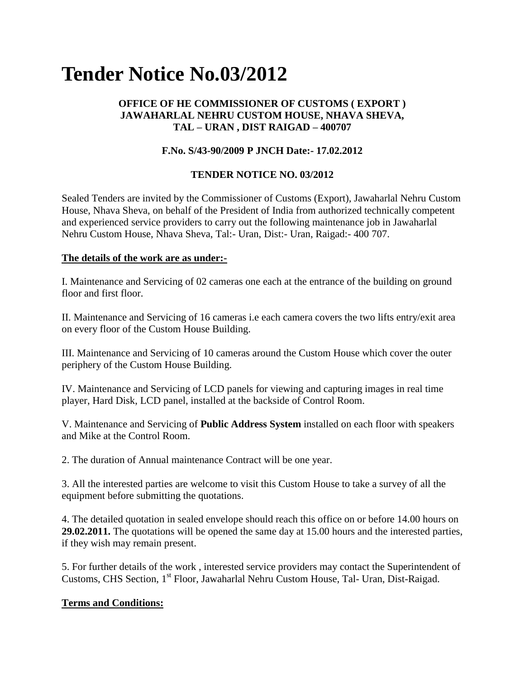# **Tender Notice No.03/2012**

## **OFFICE OF HE COMMISSIONER OF CUSTOMS ( EXPORT ) JAWAHARLAL NEHRU CUSTOM HOUSE, NHAVA SHEVA, TAL – URAN , DIST RAIGAD – 400707**

## **F.No. S/43-90/2009 P JNCH Date:- 17.02.2012**

## **TENDER NOTICE NO. 03/2012**

Sealed Tenders are invited by the Commissioner of Customs (Export), Jawaharlal Nehru Custom House, Nhava Sheva, on behalf of the President of India from authorized technically competent and experienced service providers to carry out the following maintenance job in Jawaharlal Nehru Custom House, Nhava Sheva, Tal:- Uran, Dist:- Uran, Raigad:- 400 707.

#### **The details of the work are as under:-**

I. Maintenance and Servicing of 02 cameras one each at the entrance of the building on ground floor and first floor.

II. Maintenance and Servicing of 16 cameras i.e each camera covers the two lifts entry/exit area on every floor of the Custom House Building.

III. Maintenance and Servicing of 10 cameras around the Custom House which cover the outer periphery of the Custom House Building.

IV. Maintenance and Servicing of LCD panels for viewing and capturing images in real time player, Hard Disk, LCD panel, installed at the backside of Control Room.

V. Maintenance and Servicing of **Public Address System** installed on each floor with speakers and Mike at the Control Room.

2. The duration of Annual maintenance Contract will be one year.

3. All the interested parties are welcome to visit this Custom House to take a survey of all the equipment before submitting the quotations.

4. The detailed quotation in sealed envelope should reach this office on or before 14.00 hours on **29.02.2011.** The quotations will be opened the same day at 15.00 hours and the interested parties, if they wish may remain present.

5. For further details of the work , interested service providers may contact the Superintendent of Customs, CHS Section, 1<sup>st</sup> Floor, Jawaharlal Nehru Custom House, Tal- Uran, Dist-Raigad.

## **Terms and Conditions:**